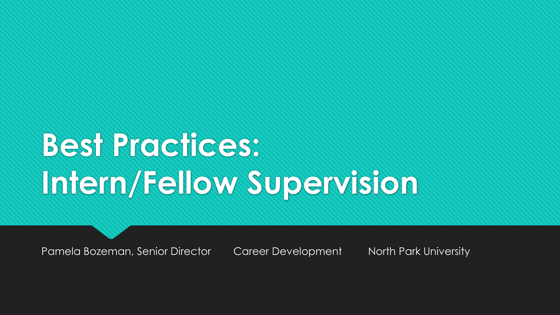# **Best Practices: Intern/Fellow Supervision**

Pamela Bozeman, Senior Director Career Development North Park University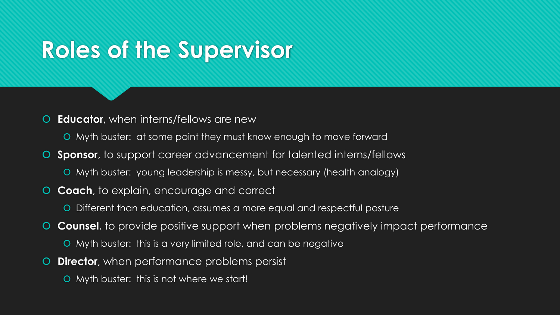# **Roles of the Supervisor**

- **Educator**, when interns/fellows are new
	- Myth buster: at some point they must know enough to move forward
- **Sponsor**, to support career advancement for talented interns/fellows
	- Myth buster: young leadership is messy, but necessary (health analogy)
- **Coach**, to explain, encourage and correct
	- Different than education, assumes a more equal and respectful posture
- **Counsel**, to provide positive support when problems negatively impact performance
	- Myth buster: this is a very limited role, and can be negative
- **Director**, when performance problems persist
	- Myth buster: this is not where we start!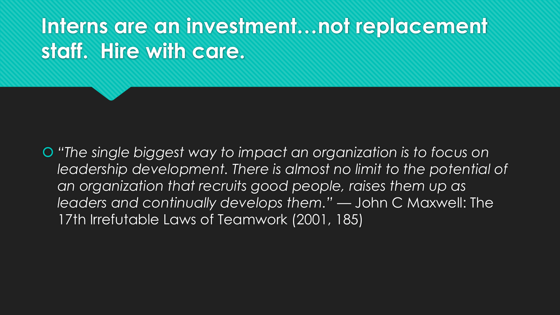**Interns are an investment…not replacement staff. Hire with care.**

 *"The single biggest way to impact an organization is to focus on*  leadership development. There is almost no limit to the potential of *an organization that recruits good people, raises them up as leaders and continually develops them."* — John C Maxwell: The 17th Irrefutable Laws of Teamwork (2001, 185)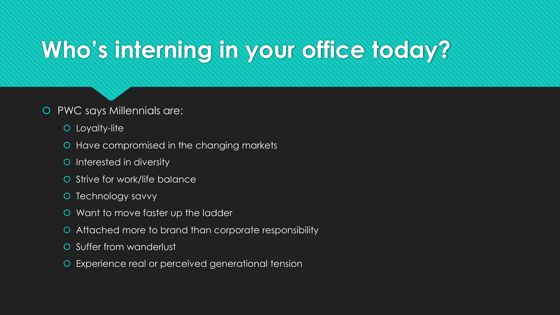# **Who's interning in your office today?**

#### O PWC says Millennials are:

- Loyalty-lite
- Have compromised in the changing markets
- **O** Interested in diversity
- O Strive for work/life balance
- O Technology savvy
- Want to move faster up the ladder
- Attached more to brand than corporate responsibility
- **O** Suffer from wanderlust
- Experience real or perceived generational tension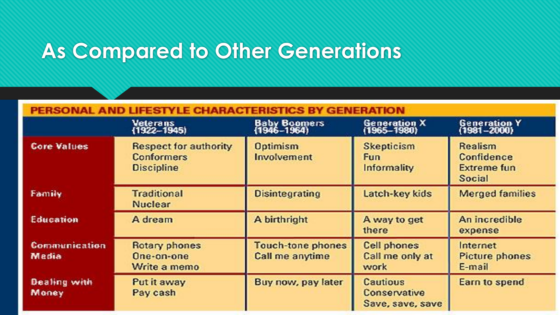### **As Compared to Other Generations**

| PERSONAL AND LIFESTYLE CHARACTERISTICS BY GENERATION |                                                                        |                                      |                                               |                                                              |
|------------------------------------------------------|------------------------------------------------------------------------|--------------------------------------|-----------------------------------------------|--------------------------------------------------------------|
|                                                      | Veterans<br>(1922–1945)                                                | Baby Boomers<br>(1946–1964)          | Generation X<br>(1965–1980)                   | <b>Generation Y</b><br>(1981–2000)                           |
| <b>Core Values</b>                                   | <b>Respect for authority</b><br><b>Conformers</b><br><b>Discipline</b> | <b>Optimism</b><br>Involvement       | Skepticism<br><b>Fun</b><br>Informality       | <b>Realism</b><br>Confidence<br><b>Extreme fun</b><br>Social |
| Family                                               | Traditional<br>Nuclear                                                 | <b>Disintegrating</b>                | Latch-key kids                                | <b>Merged families</b>                                       |
| <b>Education</b>                                     | A dream                                                                | A birthright                         | A way to get<br>there                         | An incredible<br>expense                                     |
| <b>Communication</b><br><b>Madia</b>                 | Rotary phones<br>One-on-one<br>Write a memo                            | Touch-tone phones<br>Call me anytime | <b>Cell phones</b><br>Call me only at<br>work | Internet<br><b>Picture phones</b><br>E-mail                  |
| <b>Dealing with</b><br>Money                         | Put it away<br>Pay cash                                                | Buy now, pay later                   | Cautious<br>Conservative<br>Save, save, save  | Earn to spend                                                |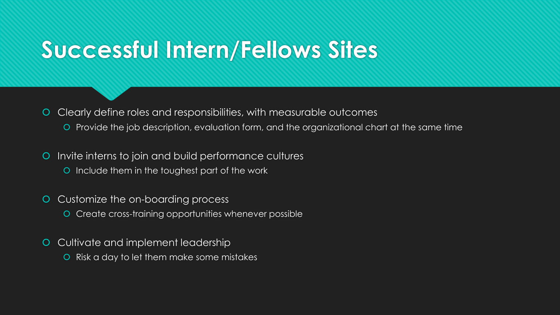## **Successful Intern/Fellows Sites**

 Clearly define roles and responsibilities, with measurable outcomes Provide the job description, evaluation form, and the organizational chart at the same time

- Invite interns to join and build performance cultures
	- Include them in the toughest part of the work
- Customize the on-boarding process
	- **O** Create cross-training opportunities whenever possible
- **O** Cultivate and implement leadership
	- Risk a day to let them make some mistakes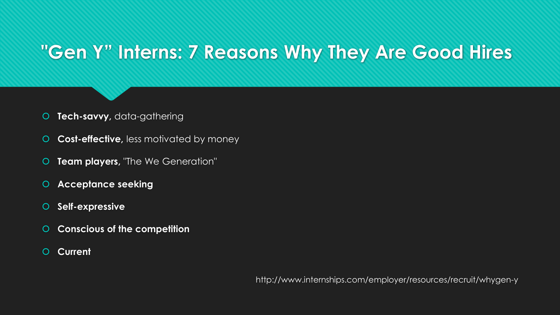#### **"Gen Y" Interns: 7 Reasons Why They Are Good Hires**

- **O Tech-savvy**, data-gathering
- **Cost-effective,** less motivated by money
- **Team players,** "The We Generation"
- **Acceptance seeking**
- **Self-expressive**
- **Conscious of the competition**
- **Current**

http://www.internships.com/employer/resources/recruit/whygen-y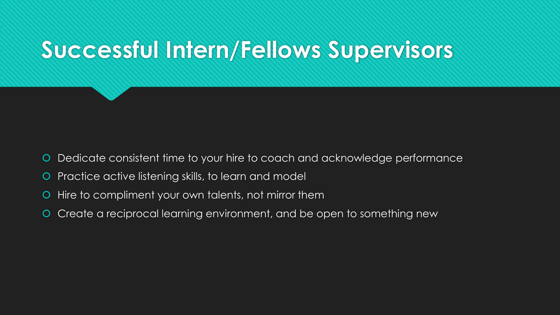# **Successful Intern/Fellows Supervisors**

- Dedicate consistent time to your hire to coach and acknowledge performance
- **O** Practice active listening skills, to learn and model
- **O** Hire to compliment your own talents, not mirror them
- Create a reciprocal learning environment, and be open to something new